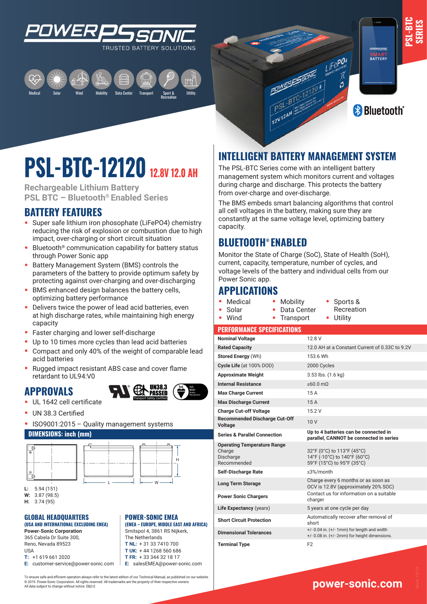

TRUSTED BATTERY SOLUTIONS





**SERIES**

# **& Bluetooth**®

# **PSL-BTC-12120 12.8V 12.0 AH**

**Rechargeable Lithium Battery PSL BTC – Bluetooth® Enabled Series**

# **BATTERY FEATURES**

- **•** Super safe lithium iron phosophate (LiFePO4) chemistry reducing the risk of explosion or combustion due to high impact, over-charging or short circuit situation
- **•** Bluetooth® communication capability for battery status through Power Sonic app
- **•** Battery Management System (BMS) controls the parameters of the battery to provide optimum safety by protecting against over-charging and over-discharging
- **•** BMS enhanced design balances the battery cells, optimizing battery performance
- **•** Delivers twice the power of lead acid batteries, even at high discharge rates, while maintaining high energy capacity
- **•** Faster charging and lower self-discharge
- **•** Up to 10 times more cycles than lead acid batteries
- **•** Compact and only 40% of the weight of comparable lead acid batteries
- **•** Rugged impact resistant ABS case and cover flame retardant to UL94:V0

## **APPROVALS**



- **•** UL 1642 cell certificate
- **•** UN 38.3 Certified
- **•** ISO9001:2015 Quality management systems

#### **DIMENSIONS: inch (mm)**



L H W

**POWER-SONIC EMEA** 

**(EMEA – EUROPE, MIDDLE EAST AND AFRICA)** Smitspol 4, 3861 RS Nijkerk, The Netherlands **T NL:** + 31 33 7410 700 **T UK:** + 44 1268 560 686 **T FR:** + 33 344 32 18 17 **E:** salesEMEA@power-sonic.com

**W:** 3.87 (98.5)

**H:** 3.74 (95)

#### **GLOBAL HEADQUARTERS (USA AND INTERNATIONAL EXCLUDING EMEA)**

**Power-Sonic Corporation** L 365 Cabela Dr Suite 300, Reno, Nevada 89523 USA **T:** +1 619 661 2020

**E:** customer-service@power-sonic.com

To ensure safe and efficient operation always refer to the latest edition of our Technical Manual, as published on our website. © 2019. Power-Sonic Corporation. All rights reserved. All trademarks are the property of their respective owners. All data subject to change without notice. E&O.E

# **INTELLIGENT BATTERY MANAGEMENT SYSTEM**

POWERPS SONE

 $L_1$  $F^{\text{R}}_{\text{R}}$ 

b

The PSL-BTC Series come with an intelligent battery management system which monitors current and voltages during charge and discharge. This protects the battery from over-charge and over-discharge.

The BMS embeds smart balancing algorithms that control all cell voltages in the battery, making sure they are constantly at the same voltage level, optimizing battery capacity.

# **BLUETOOTH® ENABLED**

Monitor the State of Charge (SoC), State of Health (SoH), current, capacity, temperature, number of cycles, and voltage levels of the battery and individual cells from our Power Sonic app.

**•** Mobility

## **APPLICATIONS**

- **•** Medical **•** Solar
- **•** Data Center **•** Sports & Recreation **•** Utility
- **•** Wind **•** Transport

#### **PERFORMANCE SPECIFICATIONS**

| <b>Nominal Voltage</b>                                                   | 12 8 V                                                                                            |
|--------------------------------------------------------------------------|---------------------------------------------------------------------------------------------------|
| <b>Rated Capacity</b>                                                    | 12.0 AH at a Constant Current of 0.33C to 9.2V                                                    |
| <b>Stored Energy (Wh)</b>                                                | 153.6 Wh                                                                                          |
| Cycle Life (at 100% DOD)                                                 | 2000 Cycles                                                                                       |
| <b>Approximate Weight</b>                                                | 3.53 lbs. (1.6 kg)                                                                                |
| <b>Internal Resistance</b>                                               | $\leq 60.0$ m $\Omega$                                                                            |
| <b>Max Charge Current</b>                                                | 15A                                                                                               |
| <b>Max Discharge Current</b>                                             | 15A                                                                                               |
| <b>Charge Cut-off Voltage</b>                                            | 15.2 V                                                                                            |
| <b>Recommended Discharge Cut-Off</b><br><b>Voltage</b>                   | 10V                                                                                               |
| <b>Series &amp; Parallel Connection</b>                                  | Up to 4 batteries can be connected in<br>parallel, CANNOT be connected in series                  |
| <b>Operating Temperature Range</b><br>Charge<br>Discharge<br>Recommended | 32°F (0°C) to 113°F (45°C)<br>14°F (-10°C) to 140°F (60°C)<br>59°F (15°C) to 95°F (35°C)          |
| <b>Self-Discharge Rate</b>                                               | $\leq$ 3%/month                                                                                   |
| <b>Long Term Storage</b>                                                 | Charge every 6 months or as soon as<br>OCV is 12.8V (approximately 20% SOC)                       |
| <b>Power Sonic Chargers</b>                                              | Contact us for information on a suitable<br>charger                                               |
| Life Expectancy (years)                                                  | 5 years at one cycle per day                                                                      |
| <b>Short Circuit Protection</b>                                          | Automatically recover after removal of<br>short                                                   |
| <b>Dimensional Tolerances</b>                                            | $+/- 0.04$ in. $(+/- 1$ mm) for length and width<br>+/- 0.08 in. (+/- 2mm) for height dimensions. |
| <b>Terminal Type</b>                                                     | F <sub>2</sub>                                                                                    |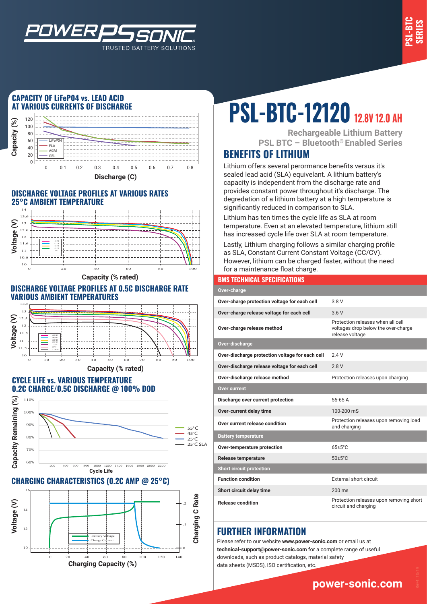

## **CAPACITY OF LiFeP04 vs. LEAD ACID AT VARIOUS CURRENTS OF DISCHARGE**

*WER* 



TRUSTED BATTERY SOLUTIONS

### **DISCHARGE VOLTAGE PROFILES AT VARIOUS RATES 25°C AMBIENT TEMPERATURE**



**Capacity (% rated)**

#### **DISCHARGE VOLTAGE PROFILES AT 0.5C DISCHARGE RATE VARIOUS AMBIENT TEMPERATURES**



### **CYCLE LIFE vs. VARIOUS TEMPERATURE 0.2C CHARGE/0.5C DISCHARGE @ 100% DOD**



## **CHARGING CHARACTERISTICS (0.2C AMP @ 25°C)**



# **PSL-BTC-12120 12.8V 12.0 AH**

**Rechargeable Lithium Battery PSL BTC – Bluetooth® Enabled Series**

# **BENEFITS OF LITHIUM**

Lithium offers several perormance benefits versus it's sealed lead acid (SLA) equivelant. A lithium battery's capacity is independent from the discharge rate and provides constant power throughout it's discharge. The degredation of a lithium battery at a high temperature is significantly reduced in comparison to SLA.

Lithium has ten times the cycle life as SLA at room temperature. Even at an elevated temperature, lithium still has increased cycle life over SLA at room temperature.

Lastly, Lithium charging follows a similar charging profile as SLA, Constant Current Constant Voltage (CC/CV). However, lithium can be charged faster, without the need for a maintenance float charge.

#### **BMS TECHNICAL SPECIFICATIONS**

| Over-charge                                     |                                                                                             |
|-------------------------------------------------|---------------------------------------------------------------------------------------------|
| Over-charge protection voltage for each cell    | 3.8 V                                                                                       |
| Over-charge release voltage for each cell       | 3.6V                                                                                        |
| Over-charge release method                      | Protection releases when all cell<br>voltages drop below the over-charge<br>release voltage |
| Over-discharge                                  |                                                                                             |
| Over-discharge protection voltage for each cell | 24V                                                                                         |
| Over-discharge release voltage for each cell    | 28V                                                                                         |
| Over-discharge release method                   | Protection releases upon charging                                                           |
| Over current                                    |                                                                                             |
| Discharge over current protection               | 55-65 A                                                                                     |
| Over-current delay time                         | 100-200 mS                                                                                  |
| Over current release condition                  | Protection releases upon removing load<br>and charging                                      |
| <b>Battery temperature</b>                      |                                                                                             |
| Over-temperature protection                     | $65+5^{\circ}$ C                                                                            |
| <b>Release temperature</b>                      | $50+5^{\circ}$ C                                                                            |
| <b>Short circuit protection</b>                 |                                                                                             |
| <b>Function condition</b>                       | External short circuit                                                                      |
| Short circuit delay time                        | $200 \text{ ms}$                                                                            |
| <b>Release condition</b>                        | Protection releases upon removing short<br>circuit and charging                             |

## **FURTHER INFORMATION**

Please refer to our website **www.power-sonic.com** or email us at **technical-support@power-sonic.com** for a complete range of useful downloads, such as product catalogs, material safety data sheets (MSDS), ISO certification, etc.